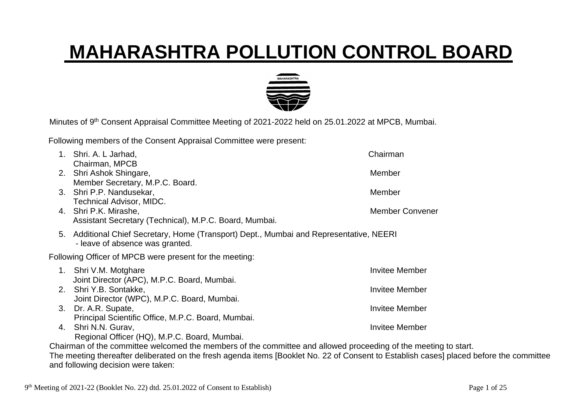## **MAHARASHTRA POLLUTION CONTROL BOARD**



Minutes of 9<sup>th</sup> Consent Appraisal Committee Meeting of 2021-2022 held on 25.01.2022 at MPCB, Mumbai.

Following members of the Consent Appraisal Committee were present:

| Chairman                                                                                                                                                                                                                                          |
|---------------------------------------------------------------------------------------------------------------------------------------------------------------------------------------------------------------------------------------------------|
|                                                                                                                                                                                                                                                   |
| Member                                                                                                                                                                                                                                            |
|                                                                                                                                                                                                                                                   |
| Member                                                                                                                                                                                                                                            |
|                                                                                                                                                                                                                                                   |
| <b>Member Convener</b>                                                                                                                                                                                                                            |
|                                                                                                                                                                                                                                                   |
| 5. Additional Chief Secretary, Home (Transport) Dept., Mumbai and Representative, NEERI                                                                                                                                                           |
|                                                                                                                                                                                                                                                   |
| <b>Invitee Member</b>                                                                                                                                                                                                                             |
|                                                                                                                                                                                                                                                   |
| <b>Invitee Member</b>                                                                                                                                                                                                                             |
|                                                                                                                                                                                                                                                   |
| <b>Invitee Member</b>                                                                                                                                                                                                                             |
|                                                                                                                                                                                                                                                   |
| <b>Invitee Member</b>                                                                                                                                                                                                                             |
|                                                                                                                                                                                                                                                   |
| Chairman of the committee welcomed the members of the committee and allowed proceeding of the meeting to start.<br>$\blacksquare$ . If the state is the state is the state of the state in the state is the state of the state in the state is in |
|                                                                                                                                                                                                                                                   |

The meeting thereafter deliberated on the fresh agenda items [Booklet No. 22 of Consent to Establish cases] placed before the committee and following decision were taken: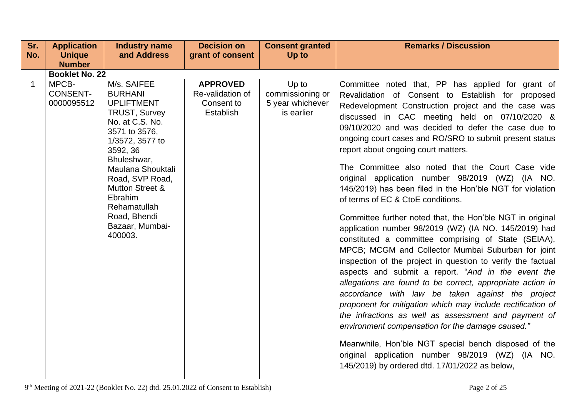| Sr.          | <b>Application</b>                     | <b>Industry name</b>                                                                                                                                                                                                                                                                                        | <b>Decision on</b>                                                    | <b>Consent granted</b>                                      | <b>Remarks / Discussion</b>                                                                                                                                                                                                                                                                                                                                                                                                                                                                                                                                                                                                                                                                                                                                                                                                                                                                                                                                                                                                                                                                                                                                                                                                                                                                                                                                                                            |
|--------------|----------------------------------------|-------------------------------------------------------------------------------------------------------------------------------------------------------------------------------------------------------------------------------------------------------------------------------------------------------------|-----------------------------------------------------------------------|-------------------------------------------------------------|--------------------------------------------------------------------------------------------------------------------------------------------------------------------------------------------------------------------------------------------------------------------------------------------------------------------------------------------------------------------------------------------------------------------------------------------------------------------------------------------------------------------------------------------------------------------------------------------------------------------------------------------------------------------------------------------------------------------------------------------------------------------------------------------------------------------------------------------------------------------------------------------------------------------------------------------------------------------------------------------------------------------------------------------------------------------------------------------------------------------------------------------------------------------------------------------------------------------------------------------------------------------------------------------------------------------------------------------------------------------------------------------------------|
| No.          | <b>Unique</b>                          | and Address                                                                                                                                                                                                                                                                                                 | grant of consent                                                      | Up to                                                       |                                                                                                                                                                                                                                                                                                                                                                                                                                                                                                                                                                                                                                                                                                                                                                                                                                                                                                                                                                                                                                                                                                                                                                                                                                                                                                                                                                                                        |
|              | <b>Number</b>                          |                                                                                                                                                                                                                                                                                                             |                                                                       |                                                             |                                                                                                                                                                                                                                                                                                                                                                                                                                                                                                                                                                                                                                                                                                                                                                                                                                                                                                                                                                                                                                                                                                                                                                                                                                                                                                                                                                                                        |
|              | <b>Booklet No. 22</b>                  |                                                                                                                                                                                                                                                                                                             |                                                                       |                                                             |                                                                                                                                                                                                                                                                                                                                                                                                                                                                                                                                                                                                                                                                                                                                                                                                                                                                                                                                                                                                                                                                                                                                                                                                                                                                                                                                                                                                        |
| $\mathbf{1}$ | MPCB-<br><b>CONSENT-</b><br>0000095512 | M/s. SAIFEE<br><b>BURHANI</b><br><b>UPLIFTMENT</b><br><b>TRUST, Survey</b><br>No. at C.S. No.<br>3571 to 3576,<br>1/3572, 3577 to<br>3592, 36<br>Bhuleshwar,<br>Maulana Shouktali<br>Road, SVP Road,<br><b>Mutton Street &amp;</b><br>Ebrahim<br>Rehamatullah<br>Road, Bhendi<br>Bazaar, Mumbai-<br>400003. | <b>APPROVED</b><br>Re-validation of<br>Consent to<br><b>Establish</b> | Up to<br>commissioning or<br>5 year whichever<br>is earlier | Committee noted that, PP has applied for grant of<br>Revalidation of Consent to Establish for proposed<br>Redevelopment Construction project and the case was<br>discussed in CAC meeting held on 07/10/2020 &<br>09/10/2020 and was decided to defer the case due to<br>ongoing court cases and RO/SRO to submit present status<br>report about ongoing court matters.<br>The Committee also noted that the Court Case vide<br>original application number 98/2019 (WZ) (IA NO.<br>145/2019) has been filed in the Hon'ble NGT for violation<br>of terms of EC & CtoE conditions.<br>Committee further noted that, the Hon'ble NGT in original<br>application number 98/2019 (WZ) (IA NO. 145/2019) had<br>constituted a committee comprising of State (SEIAA),<br>MPCB; MCGM and Collector Mumbai Suburban for joint<br>inspection of the project in question to verify the factual<br>aspects and submit a report. "And in the event the<br>allegations are found to be correct, appropriate action in<br>accordance with law be taken against the project<br>proponent for mitigation which may include rectification of<br>the infractions as well as assessment and payment of<br>environment compensation for the damage caused."<br>Meanwhile, Hon'ble NGT special bench disposed of the<br>original application number 98/2019 (WZ) (IA NO.<br>145/2019) by ordered dtd. 17/01/2022 as below, |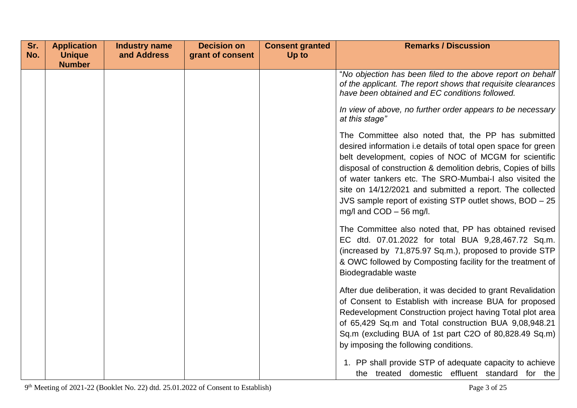| Sr.<br>No. | <b>Application</b><br><b>Unique</b> | <b>Industry name</b><br>and Address | <b>Decision on</b><br>grant of consent | <b>Consent granted</b><br>Up to | <b>Remarks / Discussion</b>                                                                                                                                                                                                                                                                                                                                                                                                                                     |
|------------|-------------------------------------|-------------------------------------|----------------------------------------|---------------------------------|-----------------------------------------------------------------------------------------------------------------------------------------------------------------------------------------------------------------------------------------------------------------------------------------------------------------------------------------------------------------------------------------------------------------------------------------------------------------|
|            | <b>Number</b>                       |                                     |                                        |                                 |                                                                                                                                                                                                                                                                                                                                                                                                                                                                 |
|            |                                     |                                     |                                        |                                 | "No objection has been filed to the above report on behalf<br>of the applicant. The report shows that requisite clearances<br>have been obtained and EC conditions followed.                                                                                                                                                                                                                                                                                    |
|            |                                     |                                     |                                        |                                 | In view of above, no further order appears to be necessary<br>at this stage"                                                                                                                                                                                                                                                                                                                                                                                    |
|            |                                     |                                     |                                        |                                 | The Committee also noted that, the PP has submitted<br>desired information i.e details of total open space for green<br>belt development, copies of NOC of MCGM for scientific<br>disposal of construction & demolition debris, Copies of bills<br>of water tankers etc. The SRO-Mumbai-I also visited the<br>site on 14/12/2021 and submitted a report. The collected<br>JVS sample report of existing STP outlet shows, BOD - 25<br>mg/l and $COD - 56$ mg/l. |
|            |                                     |                                     |                                        |                                 | The Committee also noted that, PP has obtained revised<br>EC dtd. 07.01.2022 for total BUA 9,28,467.72 Sq.m.<br>(increased by 71,875.97 Sq.m.), proposed to provide STP<br>& OWC followed by Composting facility for the treatment of<br>Biodegradable waste                                                                                                                                                                                                    |
|            |                                     |                                     |                                        |                                 | After due deliberation, it was decided to grant Revalidation<br>of Consent to Establish with increase BUA for proposed<br>Redevelopment Construction project having Total plot area<br>of 65,429 Sq.m and Total construction BUA 9,08,948.21<br>Sq.m (excluding BUA of 1st part C2O of 80,828.49 Sq.m)<br>by imposing the following conditions.                                                                                                                 |
|            |                                     |                                     |                                        |                                 | 1. PP shall provide STP of adequate capacity to achieve<br>the treated domestic effluent standard for the                                                                                                                                                                                                                                                                                                                                                       |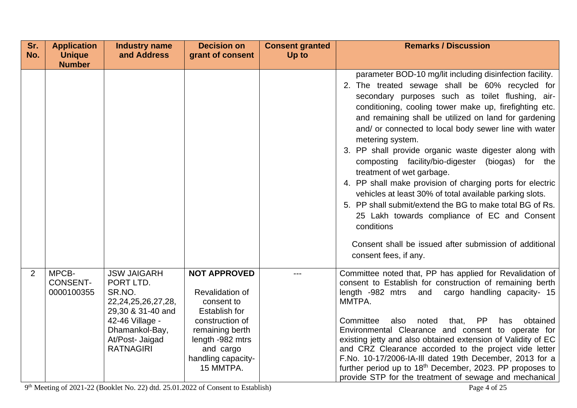| Sr. | <b>Application</b>                     | <b>Industry name</b>                                                                                                                                                  | <b>Decision on</b>                                                                                                                                                                            | <b>Consent granted</b> | <b>Remarks / Discussion</b>                                                                                                                                                                                                                                                                                                                                                                                                                                                                                                                                                                                                                                                                                                                                                                                                                     |
|-----|----------------------------------------|-----------------------------------------------------------------------------------------------------------------------------------------------------------------------|-----------------------------------------------------------------------------------------------------------------------------------------------------------------------------------------------|------------------------|-------------------------------------------------------------------------------------------------------------------------------------------------------------------------------------------------------------------------------------------------------------------------------------------------------------------------------------------------------------------------------------------------------------------------------------------------------------------------------------------------------------------------------------------------------------------------------------------------------------------------------------------------------------------------------------------------------------------------------------------------------------------------------------------------------------------------------------------------|
| No. | <b>Unique</b><br><b>Number</b>         | and Address                                                                                                                                                           | grant of consent                                                                                                                                                                              | Up to                  |                                                                                                                                                                                                                                                                                                                                                                                                                                                                                                                                                                                                                                                                                                                                                                                                                                                 |
|     |                                        |                                                                                                                                                                       |                                                                                                                                                                                               |                        | parameter BOD-10 mg/lit including disinfection facility.<br>2. The treated sewage shall be 60% recycled for<br>secondary purposes such as toilet flushing, air-<br>conditioning, cooling tower make up, firefighting etc.<br>and remaining shall be utilized on land for gardening<br>and/ or connected to local body sewer line with water<br>metering system.<br>3. PP shall provide organic waste digester along with<br>composting facility/bio-digester (biogas) for the<br>treatment of wet garbage.<br>4. PP shall make provision of charging ports for electric<br>vehicles at least 30% of total available parking slots.<br>5. PP shall submit/extend the BG to make total BG of Rs.<br>25 Lakh towards compliance of EC and Consent<br>conditions<br>Consent shall be issued after submission of additional<br>consent fees, if any. |
| 2   | MPCB-<br><b>CONSENT-</b><br>0000100355 | <b>JSW JAIGARH</b><br>PORT LTD.<br>SR.NO.<br>22, 24, 25, 26, 27, 28,<br>29,30 & 31-40 and<br>42-46 Village -<br>Dhamankol-Bay,<br>At/Post- Jaigad<br><b>RATNAGIRI</b> | <b>NOT APPROVED</b><br><b>Revalidation of</b><br>consent to<br><b>Establish for</b><br>construction of<br>remaining berth<br>length -982 mtrs<br>and cargo<br>handling capacity-<br>15 MMTPA. | ---                    | Committee noted that, PP has applied for Revalidation of<br>consent to Establish for construction of remaining berth<br>cargo handling capacity- 15<br>length -982 mtrs<br>and<br>MMTPA.<br>noted<br><b>PP</b><br>Committee<br>also<br>that,<br>has<br>obtained<br>Environmental Clearance and consent to operate for<br>existing jetty and also obtained extension of Validity of EC<br>and CRZ Clearance accorded to the project vide letter<br>F.No. 10-17/2006-IA-III dated 19th December, 2013 for a<br>further period up to 18 <sup>th</sup> December, 2023. PP proposes to<br>provide STP for the treatment of sewage and mechanical                                                                                                                                                                                                     |

9<sup>th</sup> Meeting of 2021-22 (Booklet No. 22) dtd. 25.01.2022 of Consent to Establish) Page 4 of 25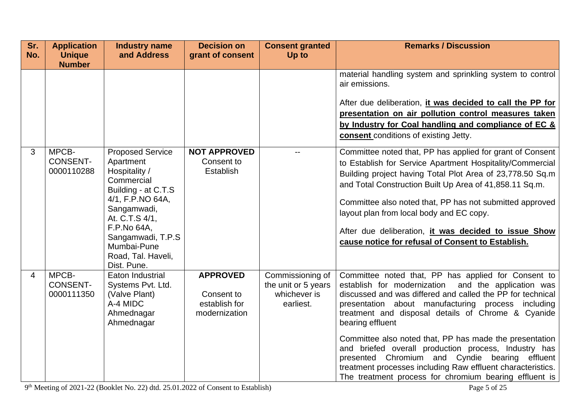| Sr.<br>No.     | <b>Application</b><br><b>Unique</b>    | <b>Industry name</b><br>and Address                                                                                                                                                                                                     | <b>Decision on</b><br>grant of consent                          | <b>Consent granted</b><br>Up to                                      | <b>Remarks / Discussion</b>                                                                                                                                                                                                                                                                                                                                                                                                                                                                                                                                                                            |
|----------------|----------------------------------------|-----------------------------------------------------------------------------------------------------------------------------------------------------------------------------------------------------------------------------------------|-----------------------------------------------------------------|----------------------------------------------------------------------|--------------------------------------------------------------------------------------------------------------------------------------------------------------------------------------------------------------------------------------------------------------------------------------------------------------------------------------------------------------------------------------------------------------------------------------------------------------------------------------------------------------------------------------------------------------------------------------------------------|
|                | <b>Number</b>                          |                                                                                                                                                                                                                                         |                                                                 |                                                                      | material handling system and sprinkling system to control<br>air emissions.<br>After due deliberation, it was decided to call the PP for<br>presentation on air pollution control measures taken<br>by Industry for Coal handling and compliance of EC &<br>consent conditions of existing Jetty.                                                                                                                                                                                                                                                                                                      |
| 3              | MPCB-<br><b>CONSENT-</b><br>0000110288 | <b>Proposed Service</b><br>Apartment<br>Hospitality /<br>Commercial<br>Building - at C.T.S<br>4/1, F.P.NO 64A,<br>Sangamwadi,<br>At. C.T.S 4/1,<br>F.P.No 64A,<br>Sangamwadi, T.P.S<br>Mumbai-Pune<br>Road, Tal. Haveli,<br>Dist. Pune. | <b>NOT APPROVED</b><br>Consent to<br>Establish                  | $\overline{a}$                                                       | Committee noted that, PP has applied for grant of Consent<br>to Establish for Service Apartment Hospitality/Commercial<br>Building project having Total Plot Area of 23,778.50 Sq.m<br>and Total Construction Built Up Area of 41,858.11 Sq.m.<br>Committee also noted that, PP has not submitted approved<br>layout plan from local body and EC copy.<br>After due deliberation, it was decided to issue Show<br>cause notice for refusal of Consent to Establish.                                                                                                                                    |
| $\overline{4}$ | MPCB-<br><b>CONSENT-</b><br>0000111350 | Eaton Industrial<br>Systems Pvt. Ltd.<br>(Valve Plant)<br>A-4 MIDC<br>Ahmednagar<br>Ahmednagar                                                                                                                                          | <b>APPROVED</b><br>Consent to<br>establish for<br>modernization | Commissioning of<br>the unit or 5 years<br>whichever is<br>earliest. | Committee noted that, PP has applied for Consent to<br>establish for modernization and the application was<br>discussed and was differed and called the PP for technical<br>presentation about manufacturing process including<br>treatment and disposal details of Chrome & Cyanide<br>bearing effluent<br>Committee also noted that, PP has made the presentation<br>and briefed overall production process, Industry has<br>presented Chromium and Cyndie bearing effluent<br>treatment processes including Raw effluent characteristics.<br>The treatment process for chromium bearing effluent is |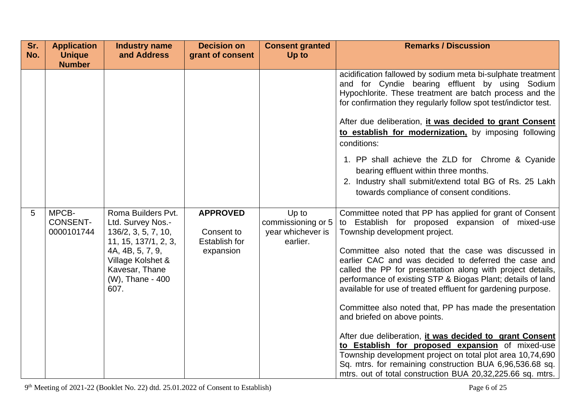| Sr.<br>No. | <b>Application</b><br><b>Unique</b>    | <b>Industry name</b><br>and Address                                                                                                                                           | <b>Decision on</b><br>grant of consent                             | <b>Consent granted</b><br>Up to                              | <b>Remarks / Discussion</b>                                                                                                                                                                                                                                                                                                                                                                                                                                                                                                                                                                                                                                                                                                                                                                                                                                |
|------------|----------------------------------------|-------------------------------------------------------------------------------------------------------------------------------------------------------------------------------|--------------------------------------------------------------------|--------------------------------------------------------------|------------------------------------------------------------------------------------------------------------------------------------------------------------------------------------------------------------------------------------------------------------------------------------------------------------------------------------------------------------------------------------------------------------------------------------------------------------------------------------------------------------------------------------------------------------------------------------------------------------------------------------------------------------------------------------------------------------------------------------------------------------------------------------------------------------------------------------------------------------|
|            | <b>Number</b>                          |                                                                                                                                                                               |                                                                    |                                                              |                                                                                                                                                                                                                                                                                                                                                                                                                                                                                                                                                                                                                                                                                                                                                                                                                                                            |
|            |                                        |                                                                                                                                                                               |                                                                    |                                                              | acidification fallowed by sodium meta bi-sulphate treatment<br>and for Cyndie bearing effluent by using Sodium<br>Hypochlorite. These treatment are batch process and the<br>for confirmation they regularly follow spot test/indictor test.<br>After due deliberation, it was decided to grant Consent<br>to establish for modernization, by imposing following<br>conditions:<br>1. PP shall achieve the ZLD for Chrome & Cyanide<br>bearing effluent within three months.<br>2. Industry shall submit/extend total BG of Rs. 25 Lakh<br>towards compliance of consent conditions.                                                                                                                                                                                                                                                                       |
| 5          | MPCB-<br><b>CONSENT-</b><br>0000101744 | Roma Builders Pvt.<br>Ltd. Survey Nos.-<br>136/2, 3, 5, 7, 10,<br>11, 15, 137/1, 2, 3,<br>4A, 4B, 5, 7, 9,<br>Village Kolshet &<br>Kavesar, Thane<br>(W), Thane - 400<br>607. | <b>APPROVED</b><br>Consent to<br><b>Establish for</b><br>expansion | Up to<br>commissioning or 5<br>year whichever is<br>earlier. | Committee noted that PP has applied for grant of Consent<br>to Establish for proposed expansion of mixed-use<br>Township development project.<br>Committee also noted that the case was discussed in<br>earlier CAC and was decided to deferred the case and<br>called the PP for presentation along with project details,<br>performance of existing STP & Biogas Plant; details of land<br>available for use of treated effluent for gardening purpose.<br>Committee also noted that, PP has made the presentation<br>and briefed on above points.<br>After due deliberation, it was decided to grant Consent<br>to Establish for proposed expansion of mixed-use<br>Township development project on total plot area 10,74,690<br>Sq. mtrs. for remaining construction BUA 6,96,536.68 sq.<br>mtrs. out of total construction BUA 20,32,225.66 sq. mtrs. |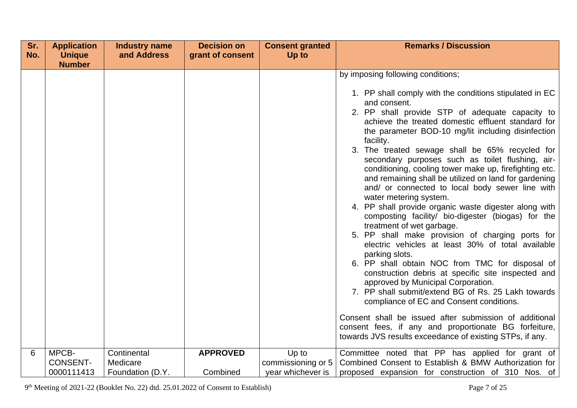| Sr. | <b>Application</b> | <b>Industry name</b> | <b>Decision on</b> | <b>Consent granted</b> | <b>Remarks / Discussion</b>                                                                                                                                                                                                                                                                                                                                                                                                                                                                                                                                                                                                                                                                                                                                                                                                                                                                                                                                                                                                                                                                                                                                                                                                                                        |
|-----|--------------------|----------------------|--------------------|------------------------|--------------------------------------------------------------------------------------------------------------------------------------------------------------------------------------------------------------------------------------------------------------------------------------------------------------------------------------------------------------------------------------------------------------------------------------------------------------------------------------------------------------------------------------------------------------------------------------------------------------------------------------------------------------------------------------------------------------------------------------------------------------------------------------------------------------------------------------------------------------------------------------------------------------------------------------------------------------------------------------------------------------------------------------------------------------------------------------------------------------------------------------------------------------------------------------------------------------------------------------------------------------------|
| No. | <b>Unique</b>      | and Address          | grant of consent   | Up to                  |                                                                                                                                                                                                                                                                                                                                                                                                                                                                                                                                                                                                                                                                                                                                                                                                                                                                                                                                                                                                                                                                                                                                                                                                                                                                    |
|     | <b>Number</b>      |                      |                    |                        | by imposing following conditions;                                                                                                                                                                                                                                                                                                                                                                                                                                                                                                                                                                                                                                                                                                                                                                                                                                                                                                                                                                                                                                                                                                                                                                                                                                  |
|     |                    |                      |                    |                        |                                                                                                                                                                                                                                                                                                                                                                                                                                                                                                                                                                                                                                                                                                                                                                                                                                                                                                                                                                                                                                                                                                                                                                                                                                                                    |
|     |                    |                      |                    |                        | 1. PP shall comply with the conditions stipulated in EC<br>and consent.<br>2. PP shall provide STP of adequate capacity to<br>achieve the treated domestic effluent standard for<br>the parameter BOD-10 mg/lit including disinfection<br>facility.<br>3. The treated sewage shall be 65% recycled for<br>secondary purposes such as toilet flushing, air-<br>conditioning, cooling tower make up, firefighting etc.<br>and remaining shall be utilized on land for gardening<br>and/ or connected to local body sewer line with<br>water metering system.<br>4. PP shall provide organic waste digester along with<br>composting facility/ bio-digester (biogas) for the<br>treatment of wet garbage.<br>5. PP shall make provision of charging ports for<br>electric vehicles at least 30% of total available<br>parking slots.<br>6. PP shall obtain NOC from TMC for disposal of<br>construction debris at specific site inspected and<br>approved by Municipal Corporation.<br>7. PP shall submit/extend BG of Rs. 25 Lakh towards<br>compliance of EC and Consent conditions.<br>Consent shall be issued after submission of additional<br>consent fees, if any and proportionate BG forfeiture,<br>towards JVS results exceedance of existing STPs, if any. |
| 6   | MPCB-              | Continental          | <b>APPROVED</b>    | Up to                  | Committee noted that PP has applied for grant of                                                                                                                                                                                                                                                                                                                                                                                                                                                                                                                                                                                                                                                                                                                                                                                                                                                                                                                                                                                                                                                                                                                                                                                                                   |
|     | <b>CONSENT-</b>    | Medicare             |                    | commissioning or 5     | Combined Consent to Establish & BMW Authorization for                                                                                                                                                                                                                                                                                                                                                                                                                                                                                                                                                                                                                                                                                                                                                                                                                                                                                                                                                                                                                                                                                                                                                                                                              |
|     | 0000111413         | Foundation (D.Y.     | Combined           | year whichever is      | proposed expansion for construction of 310 Nos. of                                                                                                                                                                                                                                                                                                                                                                                                                                                                                                                                                                                                                                                                                                                                                                                                                                                                                                                                                                                                                                                                                                                                                                                                                 |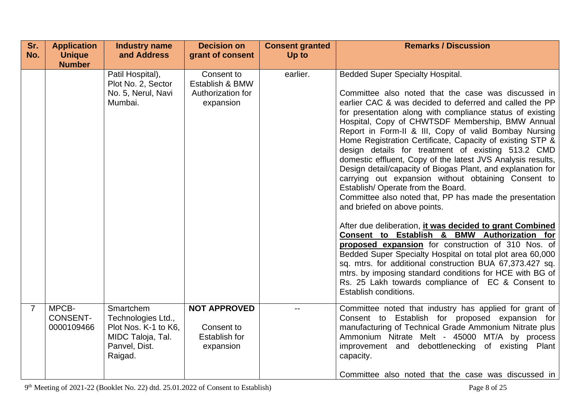| Sr. | <b>Application</b>                     | <b>Industry name</b>                                                                                     | <b>Decision on</b>                                                     | <b>Consent granted</b> | <b>Remarks / Discussion</b>                                                                                                                                                                                                                                                                                                                                                                                                                                                                                                                                                                                                                                                                                                                                                                                                                                                                    |
|-----|----------------------------------------|----------------------------------------------------------------------------------------------------------|------------------------------------------------------------------------|------------------------|------------------------------------------------------------------------------------------------------------------------------------------------------------------------------------------------------------------------------------------------------------------------------------------------------------------------------------------------------------------------------------------------------------------------------------------------------------------------------------------------------------------------------------------------------------------------------------------------------------------------------------------------------------------------------------------------------------------------------------------------------------------------------------------------------------------------------------------------------------------------------------------------|
| No. | <b>Unique</b>                          | and Address                                                                                              | grant of consent                                                       | Up to                  |                                                                                                                                                                                                                                                                                                                                                                                                                                                                                                                                                                                                                                                                                                                                                                                                                                                                                                |
|     | <b>Number</b>                          | Patil Hospital),<br>Plot No. 2, Sector<br>No. 5, Nerul, Navi<br>Mumbai.                                  | Consent to<br>Establish & BMW<br>Authorization for<br>expansion        | earlier.               | <b>Bedded Super Specialty Hospital.</b><br>Committee also noted that the case was discussed in<br>earlier CAC & was decided to deferred and called the PP<br>for presentation along with compliance status of existing<br>Hospital, Copy of CHWTSDF Membership, BMW Annual<br>Report in Form-II & III, Copy of valid Bombay Nursing<br>Home Registration Certificate, Capacity of existing STP &<br>design details for treatment of existing 513.2 CMD<br>domestic effluent, Copy of the latest JVS Analysis results,<br>Design detail/capacity of Biogas Plant, and explanation for<br>carrying out expansion without obtaining Consent to<br>Establish/Operate from the Board.<br>Committee also noted that, PP has made the presentation<br>and briefed on above points.<br>After due deliberation, <i>it was decided to grant Combined</i><br>Consent to Establish & BMW Authorization for |
|     |                                        |                                                                                                          |                                                                        |                        | proposed expansion for construction of 310 Nos. of<br>Bedded Super Specialty Hospital on total plot area 60,000<br>sq. mtrs. for additional construction BUA 67,373.427 sq.<br>mtrs. by imposing standard conditions for HCE with BG of<br>Rs. 25 Lakh towards compliance of EC & Consent to<br>Establish conditions.                                                                                                                                                                                                                                                                                                                                                                                                                                                                                                                                                                          |
| 7   | MPCB-<br><b>CONSENT-</b><br>0000109466 | Smartchem<br>Technologies Ltd.,<br>Plot Nos. K-1 to K6.<br>MIDC Taloja, Tal.<br>Panvel, Dist.<br>Raigad. | <b>NOT APPROVED</b><br>Consent to<br><b>Establish for</b><br>expansion |                        | Committee noted that industry has applied for grant of<br>Consent to Establish for proposed expansion for<br>manufacturing of Technical Grade Ammonium Nitrate plus<br>Ammonium Nitrate Melt - 45000 MT/A by process<br>improvement and debottlenecking of existing Plant<br>capacity.<br>Committee also noted that the case was discussed in                                                                                                                                                                                                                                                                                                                                                                                                                                                                                                                                                  |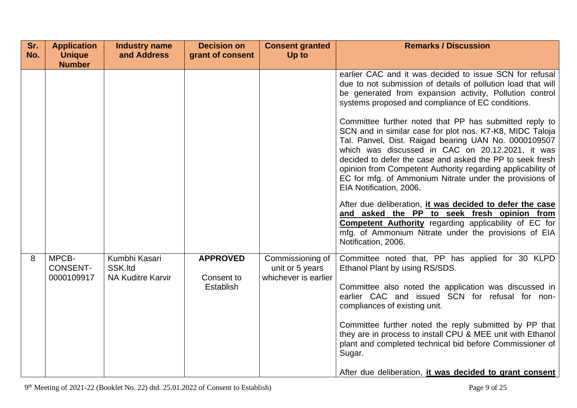| Sr.<br>No. | <b>Application</b><br><b>Unique</b>    | <b>Industry name</b><br>and Address                  | <b>Decision on</b><br>grant of consent     | <b>Consent granted</b><br>Up to                             | <b>Remarks / Discussion</b>                                                                                                                                                                                                                                                                                                                                                                                                                                                                                                                                                                                                                                                                                                                                                                                                                                                                                                                   |
|------------|----------------------------------------|------------------------------------------------------|--------------------------------------------|-------------------------------------------------------------|-----------------------------------------------------------------------------------------------------------------------------------------------------------------------------------------------------------------------------------------------------------------------------------------------------------------------------------------------------------------------------------------------------------------------------------------------------------------------------------------------------------------------------------------------------------------------------------------------------------------------------------------------------------------------------------------------------------------------------------------------------------------------------------------------------------------------------------------------------------------------------------------------------------------------------------------------|
|            | <b>Number</b>                          |                                                      |                                            |                                                             |                                                                                                                                                                                                                                                                                                                                                                                                                                                                                                                                                                                                                                                                                                                                                                                                                                                                                                                                               |
|            |                                        |                                                      |                                            |                                                             | earlier CAC and it was decided to issue SCN for refusal<br>due to not submission of details of pollution load that will<br>be generated from expansion activity, Pollution control<br>systems proposed and compliance of EC conditions.<br>Committee further noted that PP has submitted reply to<br>SCN and in similar case for plot nos. K7-K8, MIDC Taloja<br>Tal. Panvel, Dist. Raigad bearing UAN No. 0000109507<br>which was discussed in CAC on 20.12.2021, it was<br>decided to defer the case and asked the PP to seek fresh<br>opinion from Competent Authority regarding applicability of<br>EC for mfg. of Ammonium Nitrate under the provisions of<br>EIA Notification, 2006.<br>After due deliberation, it was decided to defer the case<br>and asked the PP to seek fresh opinion from<br>Competent Authority regarding applicability of EC for<br>mfg. of Ammonium Nitrate under the provisions of EIA<br>Notification, 2006. |
| 8          | MPCB-<br><b>CONSENT-</b><br>0000109917 | Kumbhi Kasari<br>SSK.Itd<br><b>NA Kuditre Karvir</b> | <b>APPROVED</b><br>Consent to<br>Establish | Commissioning of<br>unit or 5 years<br>whichever is earlier | Committee noted that, PP has applied for 30 KLPD<br>Ethanol Plant by using RS/SDS.<br>Committee also noted the application was discussed in<br>earlier CAC and issued SCN for refusal for non-<br>compliances of existing unit.<br>Committee further noted the reply submitted by PP that<br>they are in process to install CPU & MEE unit with Ethanol<br>plant and completed technical bid before Commissioner of<br>Sugar.<br>After due deliberation, it was decided to grant consent                                                                                                                                                                                                                                                                                                                                                                                                                                                      |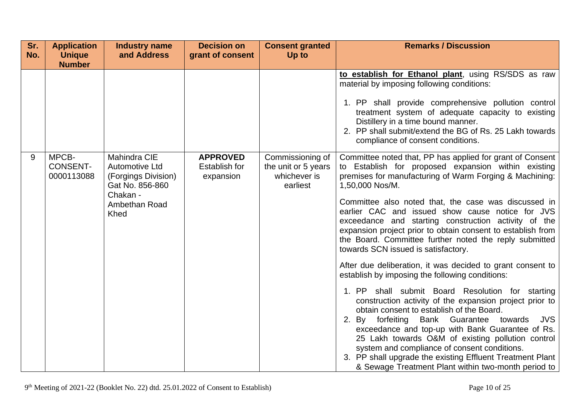| Sr. | <b>Application</b>                     | <b>Industry name</b>                                                                                                        | <b>Decision on</b>                                   | <b>Consent granted</b>                                              | <b>Remarks / Discussion</b>                                                                                                                                                                                                                                                                                                                                                                                                                                                                                                                                                                                                                                                                                                                                                                                                                                                                                                                                                                                                                                                                                                                             |
|-----|----------------------------------------|-----------------------------------------------------------------------------------------------------------------------------|------------------------------------------------------|---------------------------------------------------------------------|---------------------------------------------------------------------------------------------------------------------------------------------------------------------------------------------------------------------------------------------------------------------------------------------------------------------------------------------------------------------------------------------------------------------------------------------------------------------------------------------------------------------------------------------------------------------------------------------------------------------------------------------------------------------------------------------------------------------------------------------------------------------------------------------------------------------------------------------------------------------------------------------------------------------------------------------------------------------------------------------------------------------------------------------------------------------------------------------------------------------------------------------------------|
| No. | <b>Unique</b><br><b>Number</b>         | and Address                                                                                                                 | grant of consent                                     | Up to                                                               |                                                                                                                                                                                                                                                                                                                                                                                                                                                                                                                                                                                                                                                                                                                                                                                                                                                                                                                                                                                                                                                                                                                                                         |
|     |                                        |                                                                                                                             |                                                      |                                                                     | to establish for Ethanol plant, using RS/SDS as raw<br>material by imposing following conditions:<br>1. PP shall provide comprehensive pollution control<br>treatment system of adequate capacity to existing<br>Distillery in a time bound manner.<br>2. PP shall submit/extend the BG of Rs. 25 Lakh towards<br>compliance of consent conditions.                                                                                                                                                                                                                                                                                                                                                                                                                                                                                                                                                                                                                                                                                                                                                                                                     |
| 9   | MPCB-<br><b>CONSENT-</b><br>0000113088 | Mahindra CIE<br><b>Automotive Ltd</b><br>(Forgings Division)<br>Gat No. 856-860<br>Chakan -<br>Ambethan Road<br><b>Khed</b> | <b>APPROVED</b><br><b>Establish for</b><br>expansion | Commissioning of<br>the unit or 5 years<br>whichever is<br>earliest | Committee noted that, PP has applied for grant of Consent<br>to Establish for proposed expansion within existing<br>premises for manufacturing of Warm Forging & Machining:<br>1,50,000 Nos/M.<br>Committee also noted that, the case was discussed in<br>earlier CAC and issued show cause notice for JVS<br>exceedance and starting construction activity of the<br>expansion project prior to obtain consent to establish from<br>the Board. Committee further noted the reply submitted<br>towards SCN issued is satisfactory.<br>After due deliberation, it was decided to grant consent to<br>establish by imposing the following conditions:<br>1. PP shall submit Board Resolution for starting<br>construction activity of the expansion project prior to<br>obtain consent to establish of the Board.<br>forfeiting Bank Guarantee<br>towards<br>JVS<br>2.<br>By<br>exceedance and top-up with Bank Guarantee of Rs.<br>25 Lakh towards O&M of existing pollution control<br>system and compliance of consent conditions.<br>3. PP shall upgrade the existing Effluent Treatment Plant<br>& Sewage Treatment Plant within two-month period to |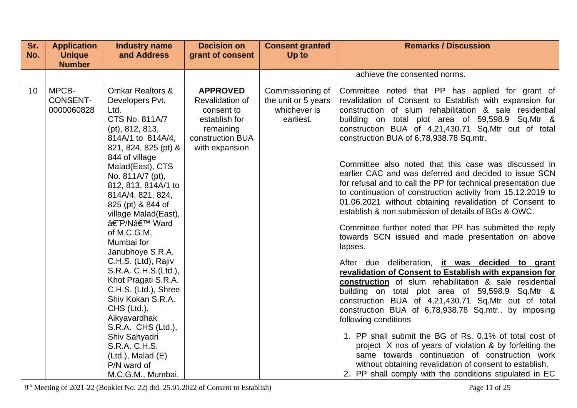| Sr.<br>No. | <b>Application</b><br><b>Unique</b>    | <b>Industry name</b><br>and Address                                                                                                                                                                                                                                                                                                                                                                                                                                                                                                                                                                                                    | <b>Decision on</b><br>grant of consent                                                                               | <b>Consent granted</b><br>Up to                                      | <b>Remarks / Discussion</b>                                                                                                                                                                                                                                                                                                                                                                                                                                                                                                                                                                                                                                                                                                                                                                                                                                                                                                                                                                                                                                                                                                                                                                                                                                                                                                                                                                                                                                                                    |
|------------|----------------------------------------|----------------------------------------------------------------------------------------------------------------------------------------------------------------------------------------------------------------------------------------------------------------------------------------------------------------------------------------------------------------------------------------------------------------------------------------------------------------------------------------------------------------------------------------------------------------------------------------------------------------------------------------|----------------------------------------------------------------------------------------------------------------------|----------------------------------------------------------------------|------------------------------------------------------------------------------------------------------------------------------------------------------------------------------------------------------------------------------------------------------------------------------------------------------------------------------------------------------------------------------------------------------------------------------------------------------------------------------------------------------------------------------------------------------------------------------------------------------------------------------------------------------------------------------------------------------------------------------------------------------------------------------------------------------------------------------------------------------------------------------------------------------------------------------------------------------------------------------------------------------------------------------------------------------------------------------------------------------------------------------------------------------------------------------------------------------------------------------------------------------------------------------------------------------------------------------------------------------------------------------------------------------------------------------------------------------------------------------------------------|
|            | <b>Number</b>                          |                                                                                                                                                                                                                                                                                                                                                                                                                                                                                                                                                                                                                                        |                                                                                                                      |                                                                      |                                                                                                                                                                                                                                                                                                                                                                                                                                                                                                                                                                                                                                                                                                                                                                                                                                                                                                                                                                                                                                                                                                                                                                                                                                                                                                                                                                                                                                                                                                |
|            |                                        |                                                                                                                                                                                                                                                                                                                                                                                                                                                                                                                                                                                                                                        |                                                                                                                      |                                                                      | achieve the consented norms.                                                                                                                                                                                                                                                                                                                                                                                                                                                                                                                                                                                                                                                                                                                                                                                                                                                                                                                                                                                                                                                                                                                                                                                                                                                                                                                                                                                                                                                                   |
| 10         | MPCB-<br><b>CONSENT-</b><br>0000060828 | <b>Omkar Realtors &amp;</b><br>Developers Pvt.<br>Ltd.<br>CTS No. 811A/7<br>(pt), 812, 813,<br>814A/1 to 814A/4,<br>821, 824, 825 (pt) &<br>844 of village<br>Malad(East), CTS<br>No. 811A/7 (pt),<br>812, 813, 814A/1 to<br>814A/4, 821, 824,<br>825 (pt) & 844 of<br>village Malad(East),<br>â€~P/N' Ward<br>of M.C.G.M,<br>Mumbai for<br>Janubhoye S.R.A.<br>C.H.S. (Ltd), Rajiv<br>S.R.A. C.H.S.(Ltd.),<br>Khot Pragati S.R.A.<br>C.H.S. (Ltd.), Shree<br>Shiv Kokan S.R.A.<br>$CHS$ (Ltd.),<br>Aikyavardhak<br>S.R.A. CHS (Ltd.),<br>Shiv Sahyadri<br>S.R.A. C.H.S.<br>$(Ltd.)$ , Malad $(E)$<br>P/N ward of<br>M.C.G.M., Mumbai. | <b>APPROVED</b><br>Revalidation of<br>consent to<br>establish for<br>remaining<br>construction BUA<br>with expansion | Commissioning of<br>the unit or 5 years<br>whichever is<br>earliest. | Committee noted that PP has applied for grant of<br>revalidation of Consent to Establish with expansion for<br>construction of slum rehabilitation & sale residential<br>building on total plot area of 59,598.9 Sq.Mtr &<br>construction BUA of 4,21,430.71 Sq.Mtr out of total<br>construction BUA of 6,78,938.78 Sq.mtr.<br>Committee also noted that this case was discussed in<br>earlier CAC and was deferred and decided to issue SCN<br>for refusal and to call the PP for technical presentation due<br>to continuation of construction activity from 15.12.2019 to<br>01.06.2021 without obtaining revalidation of Consent to<br>establish & non submission of details of BGs & OWC.<br>Committee further noted that PP has submitted the reply<br>towards SCN issued and made presentation on above<br>lapses.<br>After due deliberation, it was decided to grant<br>revalidation of Consent to Establish with expansion for<br><b>construction</b> of slum rehabilitation & sale residential<br>building on total plot area of 59,598.9 Sq.Mtr &<br>construction BUA of 4,21,430.71 Sq.Mtr out of total<br>construction BUA of 6,78,938.78 Sq.mtr by imposing<br>following conditions<br>1. PP shall submit the BG of Rs. 0.1% of total cost of<br>project X nos of years of violation & by forfeiting the<br>same towards continuation of construction work<br>without obtaining revalidation of consent to establish.<br>2. PP shall comply with the conditions stipulated in EC |

9<sup>th</sup> Meeting of 2021-22 (Booklet No. 22) dtd. 25.01.2022 of Consent to Establish) Page 11 of 25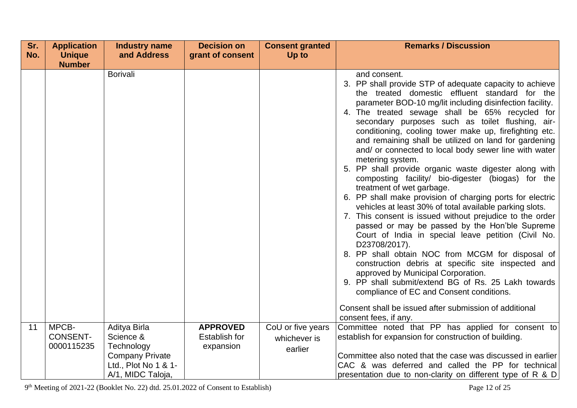| Sr. | <b>Application</b>                     | <b>Industry name</b>                                                                                           | <b>Decision on</b>                                   | <b>Consent granted</b>                       | <b>Remarks / Discussion</b>                                                                                                                                                                                                                                                                                                                                                                                                                                                                                                                                                                                                                                                                                                                                                                                                                                                                                                                                                                                                                                                                                                                                                                               |
|-----|----------------------------------------|----------------------------------------------------------------------------------------------------------------|------------------------------------------------------|----------------------------------------------|-----------------------------------------------------------------------------------------------------------------------------------------------------------------------------------------------------------------------------------------------------------------------------------------------------------------------------------------------------------------------------------------------------------------------------------------------------------------------------------------------------------------------------------------------------------------------------------------------------------------------------------------------------------------------------------------------------------------------------------------------------------------------------------------------------------------------------------------------------------------------------------------------------------------------------------------------------------------------------------------------------------------------------------------------------------------------------------------------------------------------------------------------------------------------------------------------------------|
| No. | <b>Unique</b>                          | and Address                                                                                                    | grant of consent                                     | Up to                                        |                                                                                                                                                                                                                                                                                                                                                                                                                                                                                                                                                                                                                                                                                                                                                                                                                                                                                                                                                                                                                                                                                                                                                                                                           |
|     | <b>Number</b>                          |                                                                                                                |                                                      |                                              |                                                                                                                                                                                                                                                                                                                                                                                                                                                                                                                                                                                                                                                                                                                                                                                                                                                                                                                                                                                                                                                                                                                                                                                                           |
|     |                                        | <b>Borivali</b>                                                                                                |                                                      |                                              | and consent.<br>3. PP shall provide STP of adequate capacity to achieve<br>the treated domestic effluent standard for the<br>parameter BOD-10 mg/lit including disinfection facility.<br>4. The treated sewage shall be 65% recycled for<br>secondary purposes such as toilet flushing, air-<br>conditioning, cooling tower make up, firefighting etc.<br>and remaining shall be utilized on land for gardening<br>and/ or connected to local body sewer line with water<br>metering system.<br>5. PP shall provide organic waste digester along with<br>composting facility/ bio-digester (biogas) for the<br>treatment of wet garbage.<br>6. PP shall make provision of charging ports for electric<br>vehicles at least 30% of total available parking slots.<br>7. This consent is issued without prejudice to the order<br>passed or may be passed by the Hon'ble Supreme<br>Court of India in special leave petition (Civil No.<br>D23708/2017).<br>8. PP shall obtain NOC from MCGM for disposal of<br>construction debris at specific site inspected and<br>approved by Municipal Corporation.<br>9. PP shall submit/extend BG of Rs. 25 Lakh towards<br>compliance of EC and Consent conditions. |
|     |                                        |                                                                                                                |                                                      |                                              | Consent shall be issued after submission of additional<br>consent fees, if any.                                                                                                                                                                                                                                                                                                                                                                                                                                                                                                                                                                                                                                                                                                                                                                                                                                                                                                                                                                                                                                                                                                                           |
| 11  | MPCB-<br><b>CONSENT-</b><br>0000115235 | Aditya Birla<br>Science &<br>Technology<br><b>Company Private</b><br>Ltd., Plot No 1 & 1-<br>A/1, MIDC Taloja, | <b>APPROVED</b><br><b>Establish for</b><br>expansion | CoU or five years<br>whichever is<br>earlier | Committee noted that PP has applied for consent to<br>establish for expansion for construction of building.<br>Committee also noted that the case was discussed in earlier<br>CAC & was deferred and called the PP for technical<br>presentation due to non-clarity on different type of R & D                                                                                                                                                                                                                                                                                                                                                                                                                                                                                                                                                                                                                                                                                                                                                                                                                                                                                                            |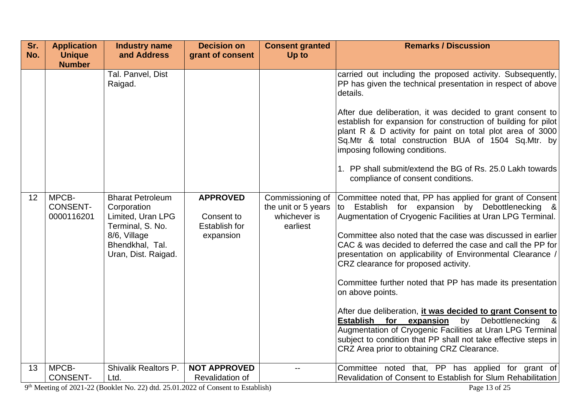| Sr. | <b>Application</b>                     | <b>Industry name</b>                                                                                                                      | <b>Decision on</b>                                                 | <b>Consent granted</b>                                              | <b>Remarks / Discussion</b>                                                                                                                                                                                                                                                                                                                                                                                                                                                                                                                                                                                                                                                                                                                                                                      |
|-----|----------------------------------------|-------------------------------------------------------------------------------------------------------------------------------------------|--------------------------------------------------------------------|---------------------------------------------------------------------|--------------------------------------------------------------------------------------------------------------------------------------------------------------------------------------------------------------------------------------------------------------------------------------------------------------------------------------------------------------------------------------------------------------------------------------------------------------------------------------------------------------------------------------------------------------------------------------------------------------------------------------------------------------------------------------------------------------------------------------------------------------------------------------------------|
| No. | <b>Unique</b><br><b>Number</b>         | and Address                                                                                                                               | grant of consent                                                   | Up to                                                               |                                                                                                                                                                                                                                                                                                                                                                                                                                                                                                                                                                                                                                                                                                                                                                                                  |
|     |                                        | Tal. Panvel, Dist<br>Raigad.                                                                                                              |                                                                    |                                                                     | carried out including the proposed activity. Subsequently,<br>PP has given the technical presentation in respect of above<br>details.<br>After due deliberation, it was decided to grant consent to<br>establish for expansion for construction of building for pilot<br>plant R & D activity for paint on total plot area of 3000<br>Sq.Mtr & total construction BUA of 1504 Sq.Mtr. by<br>imposing following conditions.<br>1. PP shall submit/extend the BG of Rs. 25.0 Lakh towards<br>compliance of consent conditions.                                                                                                                                                                                                                                                                     |
| 12  | MPCB-<br><b>CONSENT-</b><br>0000116201 | <b>Bharat Petroleum</b><br>Corporation<br>Limited, Uran LPG<br>Terminal, S. No.<br>8/6, Village<br>Bhendkhal, Tal.<br>Uran, Dist. Raigad. | <b>APPROVED</b><br>Consent to<br><b>Establish for</b><br>expansion | Commissioning of<br>the unit or 5 years<br>whichever is<br>earliest | Committee noted that, PP has applied for grant of Consent<br>Establish for expansion by Debottlenecking &<br>to<br>Augmentation of Cryogenic Facilities at Uran LPG Terminal.<br>Committee also noted that the case was discussed in earlier<br>CAC & was decided to deferred the case and call the PP for<br>presentation on applicability of Environmental Clearance /<br>CRZ clearance for proposed activity.<br>Committee further noted that PP has made its presentation<br>on above points.<br>After due deliberation, it was decided to grant Consent to<br>Debottlenecking<br>by<br>Establish for expansion<br>Augmentation of Cryogenic Facilities at Uran LPG Terminal<br>subject to condition that PP shall not take effective steps in<br>CRZ Area prior to obtaining CRZ Clearance. |
| 13  | MPCB-<br><b>CONSENT-</b>               | Shivalik Realtors P.<br>Ltd.                                                                                                              | <b>NOT APPROVED</b><br><b>Revalidation of</b>                      |                                                                     | Committee noted that, PP has applied for grant of<br>Revalidation of Consent to Establish for Slum Rehabilitation                                                                                                                                                                                                                                                                                                                                                                                                                                                                                                                                                                                                                                                                                |

9<sup>th</sup> Meeting of 2021-22 (Booklet No. 22) dtd. 25.01.2022 of Consent to Establish) Page 13 of 25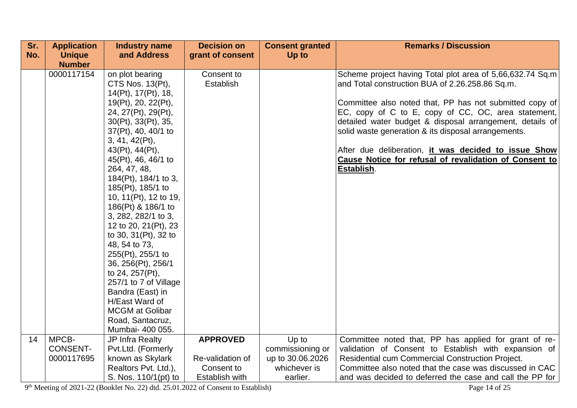| Sr. | <b>Application</b>       | <b>Industry name</b>                       | <b>Decision on</b>    | <b>Consent granted</b>    | <b>Remarks / Discussion</b>                                                                                   |
|-----|--------------------------|--------------------------------------------|-----------------------|---------------------------|---------------------------------------------------------------------------------------------------------------|
| No. | <b>Unique</b>            | and Address                                | grant of consent      | Up to                     |                                                                                                               |
|     | <b>Number</b>            |                                            |                       |                           |                                                                                                               |
|     | 0000117154               | on plot bearing                            | Consent to            |                           | Scheme project having Total plot area of 5,66,632.74 Sq.m                                                     |
|     |                          | CTS Nos. 13(Pt),                           | Establish             |                           | and Total construction BUA of 2.26.258.86 Sq.m.                                                               |
|     |                          | 14(Pt), 17(Pt), 18,<br>19(Pt), 20, 22(Pt), |                       |                           | Committee also noted that, PP has not submitted copy of                                                       |
|     |                          | 24, 27(Pt), 29(Pt),                        |                       |                           | EC, copy of C to E, copy of CC, OC, area statement,                                                           |
|     |                          | 30(Pt), 33(Pt), 35,                        |                       |                           | detailed water budget & disposal arrangement, details of                                                      |
|     |                          | 37(Pt), 40, 40/1 to                        |                       |                           | solid waste generation & its disposal arrangements.                                                           |
|     |                          | 3, 41, 42(Pt),                             |                       |                           |                                                                                                               |
|     |                          | 43(Pt), 44(Pt),                            |                       |                           | After due deliberation, <i>it was decided to issue Show</i>                                                   |
|     |                          | 45(Pt), 46, 46/1 to                        |                       |                           | Cause Notice for refusal of revalidation of Consent to                                                        |
|     |                          | 264, 47, 48,                               |                       |                           | Establish.                                                                                                    |
|     |                          | 184(Pt), 184/1 to 3,<br>185(Pt), 185/1 to  |                       |                           |                                                                                                               |
|     |                          | 10, 11(Pt), 12 to 19,                      |                       |                           |                                                                                                               |
|     |                          | 186(Pt) & 186/1 to                         |                       |                           |                                                                                                               |
|     |                          | 3, 282, 282/1 to 3,                        |                       |                           |                                                                                                               |
|     |                          | 12 to 20, 21(Pt), 23                       |                       |                           |                                                                                                               |
|     |                          | to 30, 31 (Pt), 32 to                      |                       |                           |                                                                                                               |
|     |                          | 48, 54 to 73,                              |                       |                           |                                                                                                               |
|     |                          | 255(Pt), 255/1 to<br>36, 256(Pt), 256/1    |                       |                           |                                                                                                               |
|     |                          | to 24, 257(Pt),                            |                       |                           |                                                                                                               |
|     |                          | 257/1 to 7 of Village                      |                       |                           |                                                                                                               |
|     |                          | Bandra (East) in                           |                       |                           |                                                                                                               |
|     |                          | H/East Ward of                             |                       |                           |                                                                                                               |
|     |                          | <b>MCGM</b> at Golibar                     |                       |                           |                                                                                                               |
|     |                          | Road, Santacruz,                           |                       |                           |                                                                                                               |
|     |                          | Mumbai- 400 055.                           |                       |                           |                                                                                                               |
| 14  | MPCB-<br><b>CONSENT-</b> | JP Infra Realty<br>Pvt.Ltd. (Formerly      | <b>APPROVED</b>       | Up to<br>commissioning or | Committee noted that, PP has applied for grant of re-<br>validation of Consent to Establish with expansion of |
|     | 0000117695               | known as Skylark                           | Re-validation of      | up to 30.06.2026          | Residential cum Commercial Construction Project.                                                              |
|     |                          | Realtors Pvt. Ltd.),                       | Consent to            | whichever is              | Committee also noted that the case was discussed in CAC                                                       |
|     |                          | S. Nos. 110/1(pt) to                       | <b>Establish with</b> | earlier.                  | and was decided to deferred the case and call the PP for                                                      |

9<sup>th</sup> Meeting of 2021-22 (Booklet No. 22) dtd. 25.01.2022 of Consent to Establish) Page 14 of 25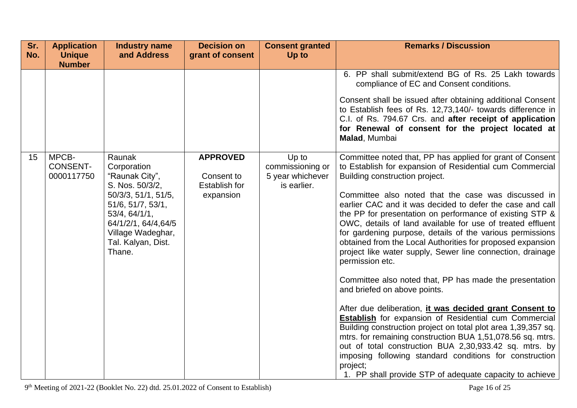| Sr.<br>No. | <b>Application</b><br><b>Unique</b>    | <b>Industry name</b><br>and Address                                                                                                                                                                  | <b>Decision on</b><br>grant of consent                             | <b>Consent granted</b><br>Up to                              | <b>Remarks / Discussion</b>                                                                                                                                                                                                                                                                                                                                                                                                                                                                                                                                                                                                                                                                                                                                                                                                                                                                                                                                                                                                                                                                                                                                        |
|------------|----------------------------------------|------------------------------------------------------------------------------------------------------------------------------------------------------------------------------------------------------|--------------------------------------------------------------------|--------------------------------------------------------------|--------------------------------------------------------------------------------------------------------------------------------------------------------------------------------------------------------------------------------------------------------------------------------------------------------------------------------------------------------------------------------------------------------------------------------------------------------------------------------------------------------------------------------------------------------------------------------------------------------------------------------------------------------------------------------------------------------------------------------------------------------------------------------------------------------------------------------------------------------------------------------------------------------------------------------------------------------------------------------------------------------------------------------------------------------------------------------------------------------------------------------------------------------------------|
|            | <b>Number</b>                          |                                                                                                                                                                                                      |                                                                    |                                                              |                                                                                                                                                                                                                                                                                                                                                                                                                                                                                                                                                                                                                                                                                                                                                                                                                                                                                                                                                                                                                                                                                                                                                                    |
|            |                                        |                                                                                                                                                                                                      |                                                                    |                                                              | 6. PP shall submit/extend BG of Rs. 25 Lakh towards<br>compliance of EC and Consent conditions.<br>Consent shall be issued after obtaining additional Consent<br>to Establish fees of Rs. 12,73,140/- towards difference in<br>C.I. of Rs. 794.67 Crs. and after receipt of application<br>for Renewal of consent for the project located at<br>Malad, Mumbai                                                                                                                                                                                                                                                                                                                                                                                                                                                                                                                                                                                                                                                                                                                                                                                                      |
| 15         | MPCB-<br><b>CONSENT-</b><br>0000117750 | Raunak<br>Corporation<br>"Raunak City",<br>S. Nos. 50/3/2,<br>50/3/3, 51/1, 51/5,<br>51/6, 51/7, 53/1,<br>53/4, 64/1/1,<br>64/1/2/1, 64/4, 64/5<br>Village Wadeghar,<br>Tal. Kalyan, Dist.<br>Thane. | <b>APPROVED</b><br>Consent to<br><b>Establish for</b><br>expansion | Up to<br>commissioning or<br>5 year whichever<br>is earlier. | Committee noted that, PP has applied for grant of Consent<br>to Establish for expansion of Residential cum Commercial<br>Building construction project.<br>Committee also noted that the case was discussed in<br>earlier CAC and it was decided to defer the case and call<br>the PP for presentation on performance of existing STP &<br>OWC, details of land available for use of treated effluent<br>for gardening purpose, details of the various permissions<br>obtained from the Local Authorities for proposed expansion<br>project like water supply, Sewer line connection, drainage<br>permission etc.<br>Committee also noted that, PP has made the presentation<br>and briefed on above points.<br>After due deliberation, it was decided grant Consent to<br><b>Establish</b> for expansion of Residential cum Commercial<br>Building construction project on total plot area 1,39,357 sq.<br>mtrs. for remaining construction BUA 1,51,078.56 sq. mtrs.<br>out of total construction BUA 2,30,933.42 sq. mtrs. by<br>imposing following standard conditions for construction<br>project;<br>1. PP shall provide STP of adequate capacity to achieve |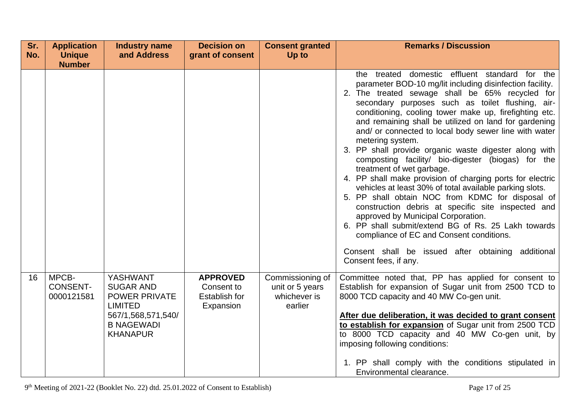| Sr. | <b>Application</b>                     | <b>Industry name</b>                                                                                                                 | <b>Decision on</b>                                                 | <b>Consent granted</b>                                         | <b>Remarks / Discussion</b>                                                                                                                                                                                                                                                                                                                                                                                                                                                                                                                                                                                                                                                                                                                                                                                                                                                                                                                                                                                             |
|-----|----------------------------------------|--------------------------------------------------------------------------------------------------------------------------------------|--------------------------------------------------------------------|----------------------------------------------------------------|-------------------------------------------------------------------------------------------------------------------------------------------------------------------------------------------------------------------------------------------------------------------------------------------------------------------------------------------------------------------------------------------------------------------------------------------------------------------------------------------------------------------------------------------------------------------------------------------------------------------------------------------------------------------------------------------------------------------------------------------------------------------------------------------------------------------------------------------------------------------------------------------------------------------------------------------------------------------------------------------------------------------------|
| No. | <b>Unique</b>                          | and Address                                                                                                                          | grant of consent                                                   | Up to                                                          |                                                                                                                                                                                                                                                                                                                                                                                                                                                                                                                                                                                                                                                                                                                                                                                                                                                                                                                                                                                                                         |
|     | <b>Number</b>                          |                                                                                                                                      |                                                                    |                                                                |                                                                                                                                                                                                                                                                                                                                                                                                                                                                                                                                                                                                                                                                                                                                                                                                                                                                                                                                                                                                                         |
|     |                                        |                                                                                                                                      |                                                                    |                                                                | the treated domestic effluent standard for the<br>parameter BOD-10 mg/lit including disinfection facility.<br>2. The treated sewage shall be 65% recycled for<br>secondary purposes such as toilet flushing, air-<br>conditioning, cooling tower make up, firefighting etc.<br>and remaining shall be utilized on land for gardening<br>and/ or connected to local body sewer line with water<br>metering system.<br>3. PP shall provide organic waste digester along with<br>composting facility/ bio-digester (biogas) for the<br>treatment of wet garbage.<br>4. PP shall make provision of charging ports for electric<br>vehicles at least 30% of total available parking slots.<br>5. PP shall obtain NOC from KDMC for disposal of<br>construction debris at specific site inspected and<br>approved by Municipal Corporation.<br>6. PP shall submit/extend BG of Rs. 25 Lakh towards<br>compliance of EC and Consent conditions.<br>Consent shall be issued after obtaining additional<br>Consent fees, if any. |
| 16  | MPCB-<br><b>CONSENT-</b><br>0000121581 | YASHWANT<br><b>SUGAR AND</b><br><b>POWER PRIVATE</b><br><b>LIMITED</b><br>567/1,568,571,540/<br><b>B NAGEWADI</b><br><b>KHANAPUR</b> | <b>APPROVED</b><br>Consent to<br><b>Establish for</b><br>Expansion | Commissioning of<br>unit or 5 years<br>whichever is<br>earlier | Committee noted that, PP has applied for consent to<br>Establish for expansion of Sugar unit from 2500 TCD to<br>8000 TCD capacity and 40 MW Co-gen unit.<br>After due deliberation, it was decided to grant consent<br>to establish for expansion of Sugar unit from 2500 TCD<br>to 8000 TCD capacity and 40 MW Co-gen unit, by<br>imposing following conditions:<br>1. PP shall comply with the conditions stipulated in<br>Environmental clearance.                                                                                                                                                                                                                                                                                                                                                                                                                                                                                                                                                                  |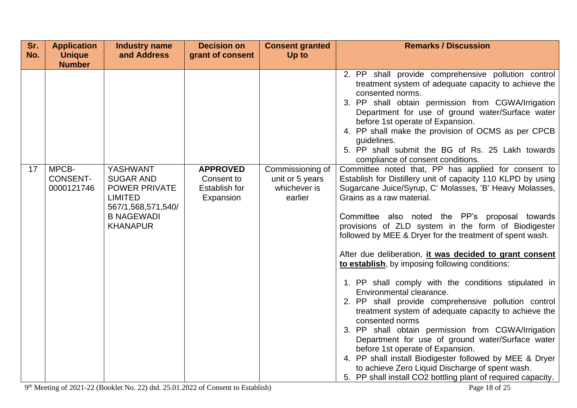| Sr. | <b>Application</b>                     | Industry name                                                                                                                               | <b>Decision on</b>                                                 | <b>Consent granted</b>                                         | <b>Remarks / Discussion</b>                                                                                                                                                                                                                                                                                                                                                                                                                                                                                                                                                                                                                                                                                                                                                                                                                                                                                                                                                                                                                     |
|-----|----------------------------------------|---------------------------------------------------------------------------------------------------------------------------------------------|--------------------------------------------------------------------|----------------------------------------------------------------|-------------------------------------------------------------------------------------------------------------------------------------------------------------------------------------------------------------------------------------------------------------------------------------------------------------------------------------------------------------------------------------------------------------------------------------------------------------------------------------------------------------------------------------------------------------------------------------------------------------------------------------------------------------------------------------------------------------------------------------------------------------------------------------------------------------------------------------------------------------------------------------------------------------------------------------------------------------------------------------------------------------------------------------------------|
| No. | <b>Unique</b>                          | and Address                                                                                                                                 | grant of consent                                                   | Up to                                                          |                                                                                                                                                                                                                                                                                                                                                                                                                                                                                                                                                                                                                                                                                                                                                                                                                                                                                                                                                                                                                                                 |
|     | <b>Number</b>                          |                                                                                                                                             |                                                                    |                                                                |                                                                                                                                                                                                                                                                                                                                                                                                                                                                                                                                                                                                                                                                                                                                                                                                                                                                                                                                                                                                                                                 |
|     |                                        |                                                                                                                                             |                                                                    |                                                                | 2. PP shall provide comprehensive pollution control<br>treatment system of adequate capacity to achieve the<br>consented norms.<br>3. PP shall obtain permission from CGWA/Irrigation<br>Department for use of ground water/Surface water<br>before 1st operate of Expansion.<br>4. PP shall make the provision of OCMS as per CPCB<br>guidelines.<br>5. PP shall submit the BG of Rs. 25 Lakh towards<br>compliance of consent conditions.                                                                                                                                                                                                                                                                                                                                                                                                                                                                                                                                                                                                     |
| 17  | MPCB-<br><b>CONSENT-</b><br>0000121746 | <b>YASHWANT</b><br><b>SUGAR AND</b><br><b>POWER PRIVATE</b><br><b>LIMITED</b><br>567/1,568,571,540/<br><b>B NAGEWADI</b><br><b>KHANAPUR</b> | <b>APPROVED</b><br>Consent to<br><b>Establish for</b><br>Expansion | Commissioning of<br>unit or 5 years<br>whichever is<br>earlier | Committee noted that, PP has applied for consent to<br>Establish for Distillery unit of capacity 110 KLPD by using<br>Sugarcane Juice/Syrup, C' Molasses, 'B' Heavy Molasses,<br>Grains as a raw material.<br>Committee also noted the PP's proposal towards<br>provisions of ZLD system in the form of Biodigester<br>followed by MEE & Dryer for the treatment of spent wash.<br>After due deliberation, it was decided to grant consent<br>to establish, by imposing following conditions:<br>1. PP shall comply with the conditions stipulated in<br>Environmental clearance.<br>2. PP shall provide comprehensive pollution control<br>treatment system of adequate capacity to achieve the<br>consented norms<br>3. PP shall obtain permission from CGWA/Irrigation<br>Department for use of ground water/Surface water<br>before 1st operate of Expansion.<br>4. PP shall install Biodigester followed by MEE & Dryer<br>to achieve Zero Liquid Discharge of spent wash.<br>5. PP shall install CO2 bottling plant of required capacity. |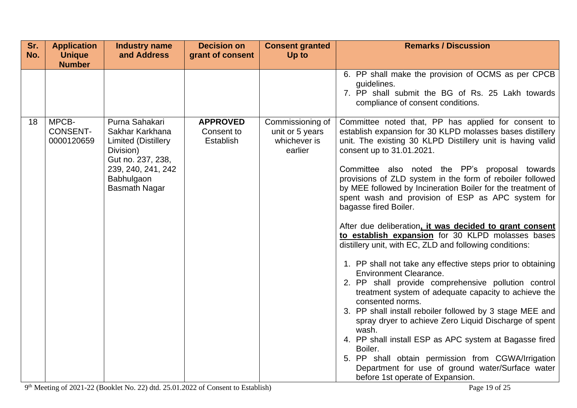| Sr. | <b>Application</b>                     | <b>Industry name</b>                                                                                                                                          | <b>Decision on</b>                         | <b>Consent granted</b>                                         | <b>Remarks / Discussion</b>                                                                                                                                                                                                                                                                                                                                                                                                                                                                                                                                                                                                                                                                                                                                                                               |
|-----|----------------------------------------|---------------------------------------------------------------------------------------------------------------------------------------------------------------|--------------------------------------------|----------------------------------------------------------------|-----------------------------------------------------------------------------------------------------------------------------------------------------------------------------------------------------------------------------------------------------------------------------------------------------------------------------------------------------------------------------------------------------------------------------------------------------------------------------------------------------------------------------------------------------------------------------------------------------------------------------------------------------------------------------------------------------------------------------------------------------------------------------------------------------------|
| No. | <b>Unique</b>                          | and Address                                                                                                                                                   | grant of consent                           | Up to                                                          |                                                                                                                                                                                                                                                                                                                                                                                                                                                                                                                                                                                                                                                                                                                                                                                                           |
|     | <b>Number</b>                          |                                                                                                                                                               |                                            |                                                                | 6. PP shall make the provision of OCMS as per CPCB<br>guidelines.<br>7. PP shall submit the BG of Rs. 25 Lakh towards<br>compliance of consent conditions.                                                                                                                                                                                                                                                                                                                                                                                                                                                                                                                                                                                                                                                |
| 18  | MPCB-<br><b>CONSENT-</b><br>0000120659 | Purna Sahakari<br>Sakhar Karkhana<br><b>Limited (Distillery</b><br>Division)<br>Gut no. 237, 238,<br>239, 240, 241, 242<br>Babhulgaon<br><b>Basmath Nagar</b> | <b>APPROVED</b><br>Consent to<br>Establish | Commissioning of<br>unit or 5 years<br>whichever is<br>earlier | Committee noted that, PP has applied for consent to<br>establish expansion for 30 KLPD molasses bases distillery<br>unit. The existing 30 KLPD Distillery unit is having valid<br>consent up to 31.01.2021.<br>Committee also noted the PP's proposal towards<br>provisions of ZLD system in the form of reboiler followed<br>by MEE followed by Incineration Boiler for the treatment of<br>spent wash and provision of ESP as APC system for<br>bagasse fired Boiler.<br>After due deliberation, it was decided to grant consent<br>to establish expansion for 30 KLPD molasses bases<br>distillery unit, with EC, ZLD and following conditions:<br>1. PP shall not take any effective steps prior to obtaining<br><b>Environment Clearance.</b><br>2. PP shall provide comprehensive pollution control |
|     |                                        |                                                                                                                                                               |                                            |                                                                | treatment system of adequate capacity to achieve the<br>consented norms.<br>3. PP shall install reboiler followed by 3 stage MEE and<br>spray dryer to achieve Zero Liquid Discharge of spent<br>wash.<br>4. PP shall install ESP as APC system at Bagasse fired<br>Boiler.<br>5. PP shall obtain permission from CGWA/Irrigation<br>Department for use of ground water/Surface water<br>before 1st operate of Expansion.                                                                                                                                                                                                                                                                                                                                                                                 |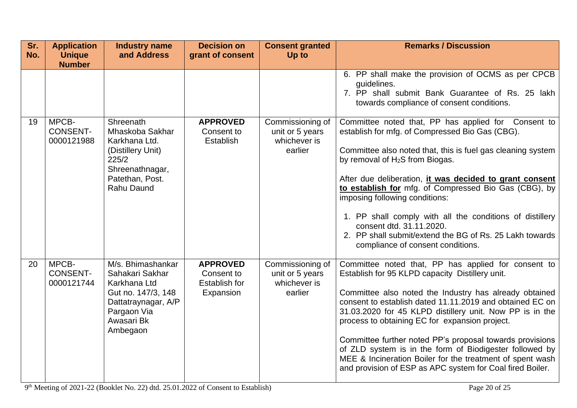| Sr. | <b>Application</b>                     | <b>Industry name</b>                                                                                                                       | <b>Decision on</b>                                                 | <b>Consent granted</b>                                         | <b>Remarks / Discussion</b>                                                                                                                                                                                                                                                                                                                                                                                                                                                                                                                                                                 |
|-----|----------------------------------------|--------------------------------------------------------------------------------------------------------------------------------------------|--------------------------------------------------------------------|----------------------------------------------------------------|---------------------------------------------------------------------------------------------------------------------------------------------------------------------------------------------------------------------------------------------------------------------------------------------------------------------------------------------------------------------------------------------------------------------------------------------------------------------------------------------------------------------------------------------------------------------------------------------|
| No. | <b>Unique</b>                          | and Address                                                                                                                                | grant of consent                                                   | Up to                                                          |                                                                                                                                                                                                                                                                                                                                                                                                                                                                                                                                                                                             |
|     | <b>Number</b>                          |                                                                                                                                            |                                                                    |                                                                | 6. PP shall make the provision of OCMS as per CPCB<br>quidelines.<br>7. PP shall submit Bank Guarantee of Rs. 25 lakh<br>towards compliance of consent conditions.                                                                                                                                                                                                                                                                                                                                                                                                                          |
| 19  | MPCB-<br><b>CONSENT-</b><br>0000121988 | Shreenath<br>Mhaskoba Sakhar<br>Karkhana Ltd.<br>(Distillery Unit)<br>225/2<br>Shreenathnagar,<br>Patethan, Post.<br><b>Rahu Daund</b>     | <b>APPROVED</b><br>Consent to<br>Establish                         | Commissioning of<br>unit or 5 years<br>whichever is<br>earlier | Committee noted that, PP has applied for Consent to<br>establish for mfg. of Compressed Bio Gas (CBG).<br>Committee also noted that, this is fuel gas cleaning system<br>by removal of H <sub>2</sub> S from Biogas.<br>After due deliberation, it was decided to grant consent<br>to establish for mfg. of Compressed Bio Gas (CBG), by<br>imposing following conditions:<br>1. PP shall comply with all the conditions of distillery<br>consent dtd. 31.11.2020.<br>2. PP shall submit/extend the BG of Rs. 25 Lakh towards<br>compliance of consent conditions.                          |
| 20  | MPCB-<br><b>CONSENT-</b><br>0000121744 | M/s. Bhimashankar<br>Sahakari Sakhar<br>Karkhana Ltd<br>Gut no. 147/3, 148<br>Dattatraynagar, A/P<br>Pargaon Via<br>Awasari Bk<br>Ambegaon | <b>APPROVED</b><br>Consent to<br><b>Establish for</b><br>Expansion | Commissioning of<br>unit or 5 years<br>whichever is<br>earlier | Committee noted that, PP has applied for consent to<br>Establish for 95 KLPD capacity Distillery unit.<br>Committee also noted the Industry has already obtained<br>consent to establish dated 11.11.2019 and obtained EC on<br>31.03.2020 for 45 KLPD distillery unit. Now PP is in the<br>process to obtaining EC for expansion project.<br>Committee further noted PP's proposal towards provisions<br>of ZLD system is in the form of Biodigester followed by<br>MEE & Incineration Boiler for the treatment of spent wash<br>and provision of ESP as APC system for Coal fired Boiler. |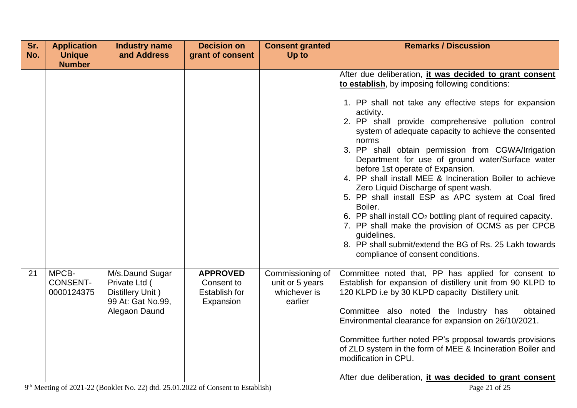| Sr. | <b>Application</b>                     | <b>Industry name</b>                                                                       | <b>Decision on</b>                                                 | <b>Consent granted</b>                                         | <b>Remarks / Discussion</b>                                                                                                                                                                                                                                                                                                                                                                                                                                                                                                                                                                                                                                                                                                                                                                                                                                                    |
|-----|----------------------------------------|--------------------------------------------------------------------------------------------|--------------------------------------------------------------------|----------------------------------------------------------------|--------------------------------------------------------------------------------------------------------------------------------------------------------------------------------------------------------------------------------------------------------------------------------------------------------------------------------------------------------------------------------------------------------------------------------------------------------------------------------------------------------------------------------------------------------------------------------------------------------------------------------------------------------------------------------------------------------------------------------------------------------------------------------------------------------------------------------------------------------------------------------|
| No. | <b>Unique</b>                          | and Address                                                                                | grant of consent                                                   | Up to                                                          |                                                                                                                                                                                                                                                                                                                                                                                                                                                                                                                                                                                                                                                                                                                                                                                                                                                                                |
|     | <b>Number</b>                          |                                                                                            |                                                                    |                                                                | After due deliberation, it was decided to grant consent<br>to establish, by imposing following conditions:<br>1. PP shall not take any effective steps for expansion<br>activity.<br>2. PP shall provide comprehensive pollution control<br>system of adequate capacity to achieve the consented<br>norms<br>3. PP shall obtain permission from CGWA/Irrigation<br>Department for use of ground water/Surface water<br>before 1st operate of Expansion.<br>4. PP shall install MEE & Incineration Boiler to achieve<br>Zero Liquid Discharge of spent wash.<br>5. PP shall install ESP as APC system at Coal fired<br>Boiler.<br>6. PP shall install CO <sub>2</sub> bottling plant of required capacity.<br>7. PP shall make the provision of OCMS as per CPCB<br>quidelines.<br>8. PP shall submit/extend the BG of Rs. 25 Lakh towards<br>compliance of consent conditions. |
| 21  | MPCB-<br><b>CONSENT-</b><br>0000124375 | M/s.Daund Sugar<br>Private Ltd (<br>Distillery Unit)<br>99 At: Gat No.99,<br>Alegaon Daund | <b>APPROVED</b><br>Consent to<br><b>Establish for</b><br>Expansion | Commissioning of<br>unit or 5 years<br>whichever is<br>earlier | Committee noted that, PP has applied for consent to<br>Establish for expansion of distillery unit from 90 KLPD to<br>120 KLPD i.e by 30 KLPD capacity Distillery unit.<br>Committee also noted the Industry has<br>obtained<br>Environmental clearance for expansion on 26/10/2021.<br>Committee further noted PP's proposal towards provisions<br>of ZLD system in the form of MEE & Incineration Boiler and<br>modification in CPU.<br>After due deliberation, it was decided to grant consent                                                                                                                                                                                                                                                                                                                                                                               |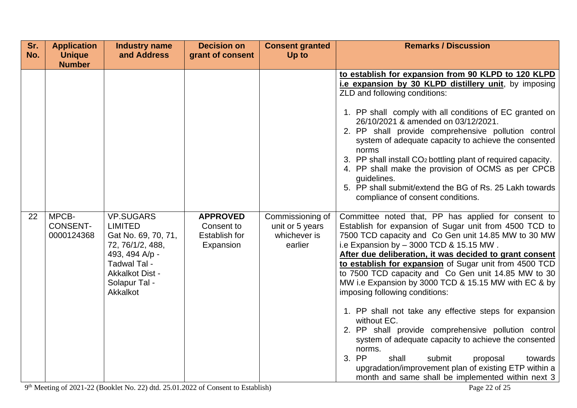| Sr. | <b>Application</b> | <b>Industry name</b>               | <b>Decision on</b>   | <b>Consent granted</b> | <b>Remarks / Discussion</b>                                                                                  |
|-----|--------------------|------------------------------------|----------------------|------------------------|--------------------------------------------------------------------------------------------------------------|
| No. | <b>Unique</b>      | and Address                        | grant of consent     | Up to                  |                                                                                                              |
|     | <b>Number</b>      |                                    |                      |                        |                                                                                                              |
|     |                    |                                    |                      |                        | to establish for expansion from 90 KLPD to 120 KLPD<br>i.e expansion by 30 KLPD distillery unit, by imposing |
|     |                    |                                    |                      |                        | ZLD and following conditions:                                                                                |
|     |                    |                                    |                      |                        |                                                                                                              |
|     |                    |                                    |                      |                        | 1. PP shall comply with all conditions of EC granted on                                                      |
|     |                    |                                    |                      |                        | 26/10/2021 & amended on 03/12/2021.                                                                          |
|     |                    |                                    |                      |                        | 2. PP shall provide comprehensive pollution control<br>system of adequate capacity to achieve the consented  |
|     |                    |                                    |                      |                        | norms<br>3. PP shall install CO <sub>2</sub> bottling plant of required capacity.                            |
|     |                    |                                    |                      |                        | 4. PP shall make the provision of OCMS as per CPCB                                                           |
|     |                    |                                    |                      |                        | guidelines.                                                                                                  |
|     |                    |                                    |                      |                        | 5. PP shall submit/extend the BG of Rs. 25 Lakh towards                                                      |
|     |                    |                                    |                      |                        | compliance of consent conditions.                                                                            |
| 22  | MPCB-              | <b>VP.SUGARS</b>                   | <b>APPROVED</b>      | Commissioning of       | Committee noted that, PP has applied for consent to                                                          |
|     | <b>CONSENT-</b>    | <b>LIMITED</b>                     | Consent to           | unit or 5 years        | Establish for expansion of Sugar unit from 4500 TCD to                                                       |
|     | 0000124368         | Gat No. 69, 70, 71,                | <b>Establish for</b> | whichever is           | 7500 TCD capacity and Co Gen unit 14.85 MW to 30 MW                                                          |
|     |                    | 72, 76/1/2, 488,<br>493, 494 A/p - | Expansion            | earlier                | i.e Expansion by - 3000 TCD & 15.15 MW.<br>After due deliberation, it was decided to grant consent           |
|     |                    | Tadwal Tal -                       |                      |                        | to establish for expansion of Sugar unit from 4500 TCD                                                       |
|     |                    | <b>Akkalkot Dist -</b>             |                      |                        | to 7500 TCD capacity and Co Gen unit 14.85 MW to 30                                                          |
|     |                    | Solapur Tal -                      |                      |                        | MW i.e Expansion by 3000 TCD & 15.15 MW with EC & by                                                         |
|     |                    | Akkalkot                           |                      |                        | imposing following conditions:                                                                               |
|     |                    |                                    |                      |                        | 1. PP shall not take any effective steps for expansion                                                       |
|     |                    |                                    |                      |                        | without EC.<br>2. PP shall provide comprehensive pollution control                                           |
|     |                    |                                    |                      |                        | system of adequate capacity to achieve the consented                                                         |
|     |                    |                                    |                      |                        | norms.                                                                                                       |
|     |                    |                                    |                      |                        | 3. PP<br>shall<br>submit<br>proposal<br>towards                                                              |
|     |                    |                                    |                      |                        | upgradation/improvement plan of existing ETP within a                                                        |
|     |                    |                                    |                      |                        | month and same shall be implemented within next 3                                                            |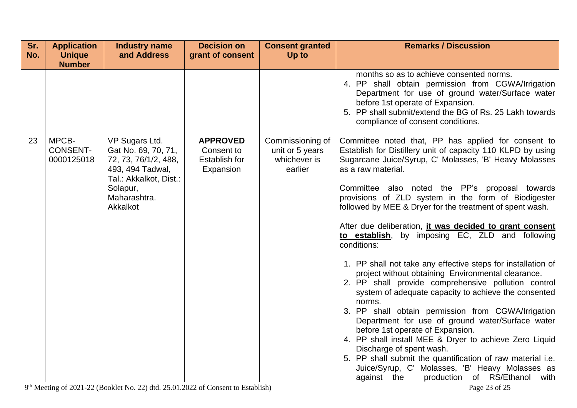| Sr. | <b>Application</b>                     | <b>Industry name</b>                                                                                                                                | <b>Decision on</b>                                                 | <b>Consent granted</b>                                         | <b>Remarks / Discussion</b>                                                                                                                                                                                                                                                                                                                                                                                                                                                                                                                                                                                                                                                                                                                                                                                                                                                                                                                                                                                                                                                                                                                                     |
|-----|----------------------------------------|-----------------------------------------------------------------------------------------------------------------------------------------------------|--------------------------------------------------------------------|----------------------------------------------------------------|-----------------------------------------------------------------------------------------------------------------------------------------------------------------------------------------------------------------------------------------------------------------------------------------------------------------------------------------------------------------------------------------------------------------------------------------------------------------------------------------------------------------------------------------------------------------------------------------------------------------------------------------------------------------------------------------------------------------------------------------------------------------------------------------------------------------------------------------------------------------------------------------------------------------------------------------------------------------------------------------------------------------------------------------------------------------------------------------------------------------------------------------------------------------|
| No. | <b>Unique</b><br><b>Number</b>         | and Address                                                                                                                                         | grant of consent                                                   | Up to                                                          |                                                                                                                                                                                                                                                                                                                                                                                                                                                                                                                                                                                                                                                                                                                                                                                                                                                                                                                                                                                                                                                                                                                                                                 |
|     |                                        |                                                                                                                                                     |                                                                    |                                                                | months so as to achieve consented norms.<br>4. PP shall obtain permission from CGWA/Irrigation<br>Department for use of ground water/Surface water<br>before 1st operate of Expansion.<br>5. PP shall submit/extend the BG of Rs. 25 Lakh towards<br>compliance of consent conditions.                                                                                                                                                                                                                                                                                                                                                                                                                                                                                                                                                                                                                                                                                                                                                                                                                                                                          |
| 23  | MPCB-<br><b>CONSENT-</b><br>0000125018 | VP Sugars Ltd.<br>Gat No. 69, 70, 71,<br>72, 73, 76/1/2, 488,<br>493, 494 Tadwal,<br>Tal.: Akkalkot, Dist.:<br>Solapur,<br>Maharashtra.<br>Akkalkot | <b>APPROVED</b><br>Consent to<br><b>Establish for</b><br>Expansion | Commissioning of<br>unit or 5 years<br>whichever is<br>earlier | Committee noted that, PP has applied for consent to<br>Establish for Distillery unit of capacity 110 KLPD by using<br>Sugarcane Juice/Syrup, C' Molasses, 'B' Heavy Molasses<br>as a raw material.<br>Committee also noted the PP's proposal towards<br>provisions of ZLD system in the form of Biodigester<br>followed by MEE & Dryer for the treatment of spent wash.<br>After due deliberation, <i>it was decided to grant consent</i><br>to establish, by imposing EC, ZLD and following<br>conditions:<br>1. PP shall not take any effective steps for installation of<br>project without obtaining Environmental clearance.<br>2. PP shall provide comprehensive pollution control<br>system of adequate capacity to achieve the consented<br>norms.<br>3. PP shall obtain permission from CGWA/Irrigation<br>Department for use of ground water/Surface water<br>before 1st operate of Expansion.<br>4. PP shall install MEE & Dryer to achieve Zero Liquid<br>Discharge of spent wash.<br>5. PP shall submit the quantification of raw material i.e.<br>Juice/Syrup, C' Molasses, 'B' Heavy Molasses as<br>production of RS/Ethanol with<br>against the |